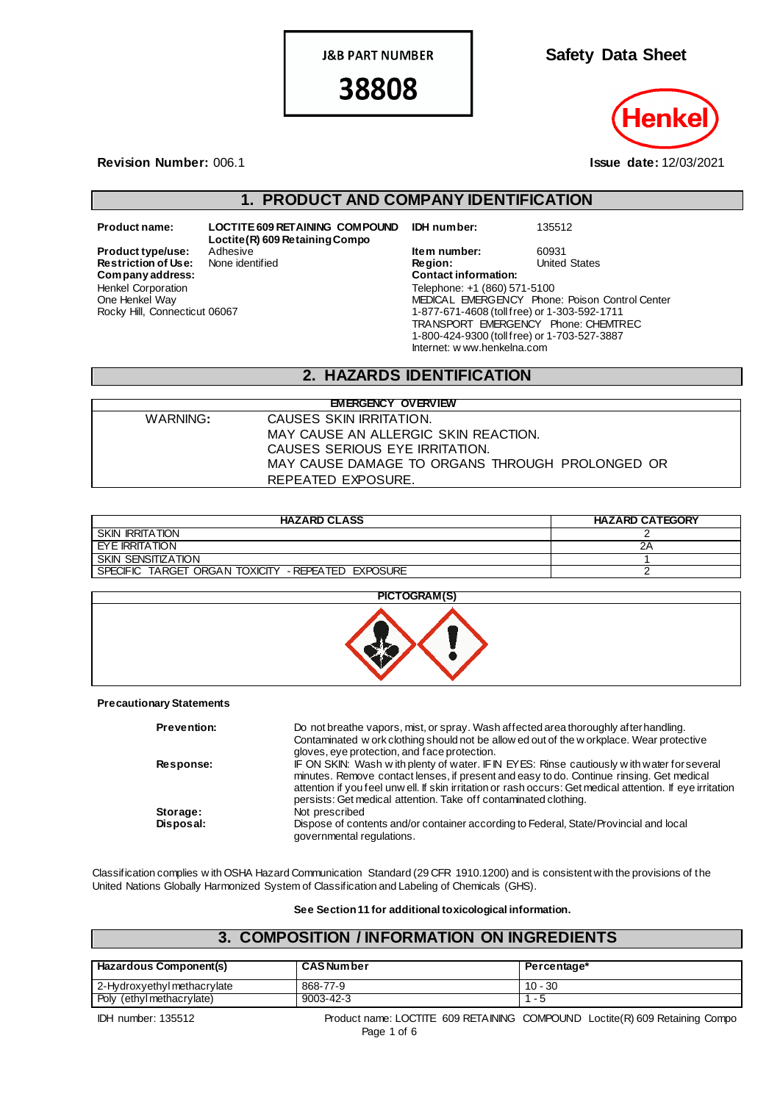**J&B PART NUMBER** 

38808

**Safety Data Sheet**

**Revision Number:** 006.1 **Issue date:** 12/03/2021

# **1. PRODUCT AND COMPANY IDENTIFICATION**

**Product type/use:** Adhesive **Item number:** 60931<br> **Restriction of Use:** None identified **In the Region:** United States **Restriction of Use:**<br>Company address: Henkel Corporation One Henkel Way Rocky Hill, Connecticut 06067

**Product name: LOCTITE 609 RETAINING COMPOUND Loctite(R) 609 Retaining Compo**

**IDH number:** 135512

**Company address: Contact information:** Telephone: +1 (860) 571-5100 MEDICAL EMERGENCY Phone: Poison Control Center 1-877-671-4608 (toll free) or 1-303-592-1711 TRANSPORT EMERGENCY Phone: CHEMTREC 1-800-424-9300 (toll free) or 1-703-527-3887 Internet: w ww.henkelna.com

## **2. HAZARDS IDENTIFICATION**

| <b>EMERGENCY OVERVIEW</b> |                                                 |  |  |
|---------------------------|-------------------------------------------------|--|--|
| WARNING:                  | CAUSES SKIN IRRITATION.                         |  |  |
|                           | MAY CAUSE AN ALLERGIC SKIN REACTION.            |  |  |
|                           | CAUSES SERIOUS EYE IRRITATION.                  |  |  |
|                           | MAY CAUSE DAMAGE TO ORGANS THROUGH PROLONGED OR |  |  |
|                           | REPEATED EXPOSURE.                              |  |  |

| <b>HAZARD CLASS</b>                                | <b>HAZARD CATEGORY</b> |
|----------------------------------------------------|------------------------|
| <b>SKIN IRRITATION</b>                             |                        |
| I EYE IRRITATION                                   | ZΡ                     |
| SKIN SENSITIZATION                                 |                        |
| SPECIFIC TARGET ORGAN TOXICITY - REPEATED EXPOSURE |                        |



### **Precautionary Statements**

| <b>Prevention:</b> | Do not breathe vapors, mist, or spray. Wash affected area thoroughly after handling.<br>Contaminated w ork clothing should not be allow ed out of the w orkplace. Wear protective<br>gloves, eye protection, and face protection.                                                                                                                                        |
|--------------------|--------------------------------------------------------------------------------------------------------------------------------------------------------------------------------------------------------------------------------------------------------------------------------------------------------------------------------------------------------------------------|
| Response:          | IF ON SKIN: Wash with plenty of water. IF IN EYES: Rinse cautiously with water for several<br>minutes. Remove contact lenses, if present and easy to do. Continue rinsing. Get medical<br>attention if you feel unw ell. If skin irritation or rash occurs: Get medical attention. If eye irritation<br>persists: Get medical attention. Take off contaminated clothing. |
| Storage:           | Not prescribed                                                                                                                                                                                                                                                                                                                                                           |
| Disposal:          | Dispose of contents and/or container according to Federal, State/Provincial and local<br>governmental regulations.                                                                                                                                                                                                                                                       |

Classification complies w ith OSHA Hazard Communication Standard (29 CFR 1910.1200) and is consistent with the provisions of the United Nations Globally Harmonized System of Classification and Labeling of Chemicals (GHS).

**See Section 11 for additional toxicological information.**

## **3. COMPOSITION / INFORMATION ON INGREDIENTS**

| <b>Hazardous Component(s)</b> | <b>CAS Number</b> | Percentage* |
|-------------------------------|-------------------|-------------|
| 2-Hydroxyethyl methacrylate   | 868-77-9          | $10 - 30$   |
| Poly (ethyl methacrylate)     | 9003-42-3         |             |

IDH number: 135512 Product name: LOCTITE 609 RETAINING COMPOUND Loctite(R) 609 Retaining Compo Page 1 of 6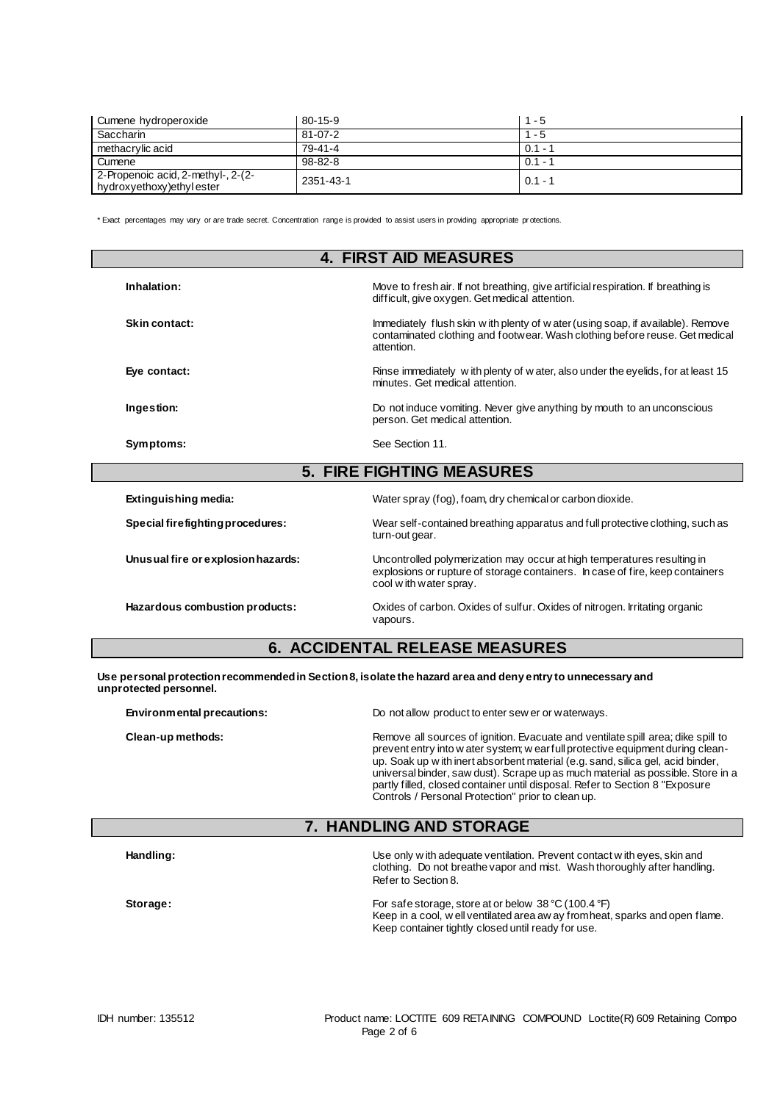| Cumene hydroperoxide                                           | 80-15-9       | $1 - 5$   |
|----------------------------------------------------------------|---------------|-----------|
| Saccharin                                                      | $81 - 07 - 2$ | - 5       |
| methacrylic acid                                               | 79-41-4       | $0.1 -$   |
| Cumene                                                         | $98 - 82 - 8$ | $0.1 - 1$ |
| 2-Propenoic acid, 2-methyl-, 2-(2-<br>hydroxyethoxy)ethylester | 2351-43-1     | $0.1 - 7$ |

\* Exact percentages may vary or are trade secret. Concentration range is provided to assist users in providing appropriate pr otections.

| <b>4. FIRST AID MEASURES</b>       |                                                                                                                                                                                    |  |
|------------------------------------|------------------------------------------------------------------------------------------------------------------------------------------------------------------------------------|--|
| Inhalation:                        | Move to fresh air. If not breathing, give artificial respiration. If breathing is<br>difficult, give oxygen. Get medical attention.                                                |  |
| Skin contact:                      | Immediately flush skin w ith plenty of w ater (using soap, if available). Remove<br>contaminated clothing and footwear. Wash clothing before reuse. Get medical<br>attention.      |  |
| Eye contact:                       | Rinse immediately with plenty of water, also under the eyelids, for at least 15<br>minutes. Get medical attention.                                                                 |  |
| Ingestion:                         | Do not induce vomiting. Never give anything by mouth to an unconscious<br>person. Get medical attention.                                                                           |  |
| Symptoms:                          | See Section 11.                                                                                                                                                                    |  |
|                                    | <b>5. FIRE FIGHTING MEASURES</b>                                                                                                                                                   |  |
| Extinguishing media:               | Water spray (fog), foam, dry chemical or carbon dioxide.                                                                                                                           |  |
| Special firefighting procedures:   | Wear self-contained breathing apparatus and full protective clothing, such as<br>turn-out gear.                                                                                    |  |
| Unusual fire or explosion hazards: | Uncontrolled polymerization may occur at high temperatures resulting in<br>explosions or rupture of storage containers. In case of fire, keep containers<br>cool with water spray. |  |
| Hazardous combustion products:     | Oxides of carbon. Oxides of sulfur. Oxides of nitrogen. Irritating organic<br>vapours.                                                                                             |  |

## **6. ACCIDENTAL RELEASE MEASURES**

**Use personal protection recommended in Section 8, isolate the hazard area and deny entry to unnecessary and unprotected personnel.**

| Environmental precautions: | Do not allow product to enter sew er or waterways.                                                                                                                                                                                                                                                                                                                                                                                                                              |  |
|----------------------------|---------------------------------------------------------------------------------------------------------------------------------------------------------------------------------------------------------------------------------------------------------------------------------------------------------------------------------------------------------------------------------------------------------------------------------------------------------------------------------|--|
| Clean-up methods:          | Remove all sources of ignition. Evacuate and ventilate spill area; dike spill to<br>prevent entry into w ater system; w ear full protective equipment during clean-<br>up. Soak up w ith inert absorbent material (e.g. sand, silica gel, acid binder,<br>universal binder, saw dust). Scrape up as much material as possible. Store in a<br>partly filled, closed container until disposal. Refer to Section 8 "Exposure<br>Controls / Personal Protection" prior to clean up. |  |

# **7. HANDLING AND STORAGE**

|          | clothing. Do not breathe vapor and mist. Wash thoroughly after handling.<br>Refer to Section 8.                                                                                                               |  |
|----------|---------------------------------------------------------------------------------------------------------------------------------------------------------------------------------------------------------------|--|
| Storage: | For safe storage, store at or below $38 \degree C$ (100.4 $\degree F$ )<br>Keep in a cool, well ventilated area aw ay from heat, sparks and open flame.<br>Keep container tightly closed until ready for use. |  |

**Handling:** Use only w ith adequate ventilation. Prevent contact w ith eyes, skin and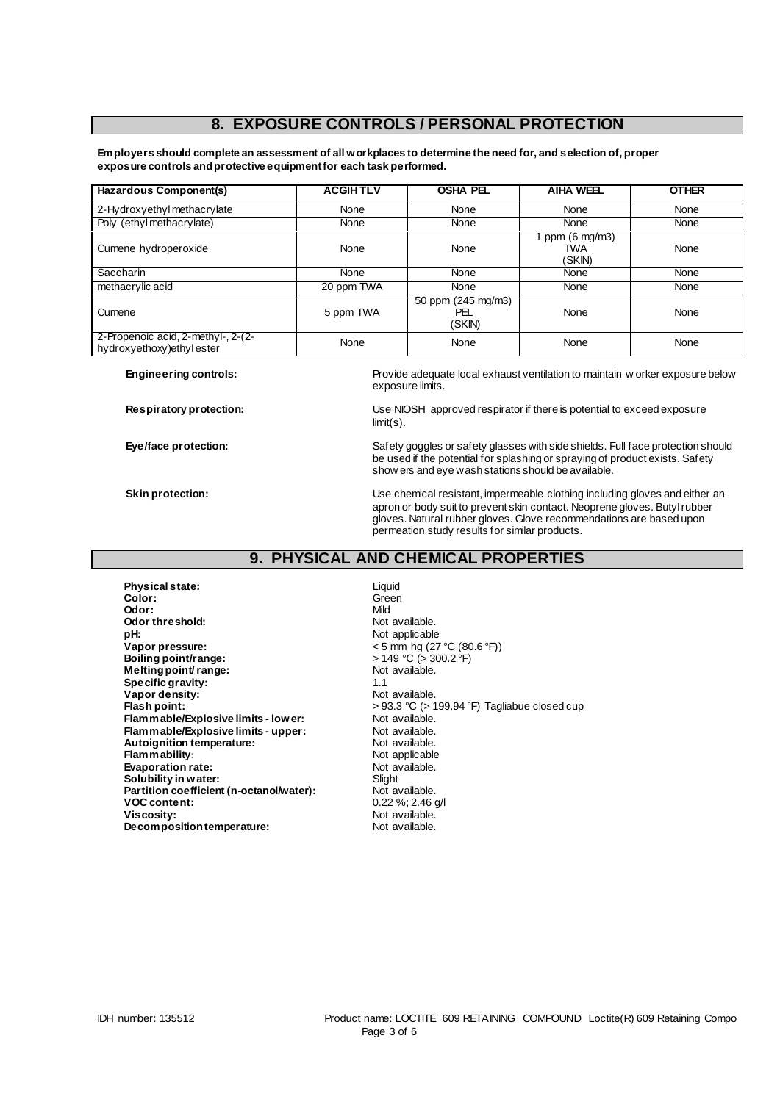## **8. EXPOSURE CONTROLS / PERSONAL PROTECTION**

**Employers should complete an assessment of all workplaces to determine the need for, and selection of, proper exposure controls and protective equipment for each task performed.**

| Hazardous Component(s)                                         | <b>ACGIHTLV</b> | <b>OSHA PEL</b>                     | <b>AIHA WEEL</b>                 | <b>OTHER</b> |
|----------------------------------------------------------------|-----------------|-------------------------------------|----------------------------------|--------------|
| 2-Hydroxyethyl methacrylate                                    | None            | None                                | None                             | None         |
| Poly (ethyl methacrylate)                                      | None            | None                                | <b>None</b>                      | None         |
| Cumene hydroperoxide                                           | None            | None                                | 1 ppm (6 mg/m3)<br>TWA<br>(SKIN) | None         |
| <b>Saccharin</b>                                               | None            | None                                | None                             | None         |
| methacrylic acid                                               | 20 ppm TWA      | None                                | None                             | None         |
| Cumene                                                         | 5 ppm TWA       | 50 ppm (245 mg/m3)<br>PEL<br>(SKIN) | None                             | None         |
| 2-Propenoic acid, 2-methyl-, 2-(2-<br>hydroxyethoxy)ethylester | None            | None                                | None                             | None         |

**Engineering controls:** Provide adequate local exhaust ventilation to maintain w orker exposure below exposure limits.

**Respiratory protection:** Use NIOSH approved respirator if there is potential to exceed exposure limit(s).

**Eye/face protection:** Safety goggles or safety glasses with side shields. Full face protection should be used if the potential for splashing or spraying of product exists. Safety show ers and eye wash stations should be available.

**Skin protection:** Use chemical resistant, impermeable clothing including gloves and either an apron or body suit to prevent skin contact. Neoprene gloves. Butyl rubber gloves. Natural rubber gloves. Glove recommendations are based upon permeation study results for similar products.

## **9. PHYSICAL AND CHEMICAL PROPERTIES**

**Physical state:** Liquid Color: Liquid Color: **Color:** Green Green Color: Green Green Green Green Green Green Green Green Green Green Green Green Green Green Green Green Green Green Green Green Green Green Green Green Green Green Green Green Green Green Green Green Gr **Odor:** Mild<br> **Odor threshold:** Container and Mild and Mot available. **Odor threshold:**<br>pH: **pH:** Not applicable **Boiling point/range:**  $\rightarrow$  149 °C ( $\rightarrow$  30.<br> **Melting point/range:**  $\rightarrow$  Not available. **Melting point/ range: Specific gravity:** 1.1 and 1.1 and 1.1 and 1.1 and 1.1 and 1.1 and 1.1 and 1.1 and 1.1 and 1.1 and 1.1 and 1.1 and 1.1 and 1.1 and 1.1 and 1.1 and 1.1 and 1.1 and 1.1 and 1.1 and 1.1 and 1.1 and 1.1 and 1.1 and 1.1 and 1. **Vapor density:**<br>Flash point: **Flammable/Explosive limits - lower:** Not available.<br> **Flammable/Explosive limits - upper:** Not available. **Flammable/Explosive limits - upper:** Not available.<br> **Autoignition temperature:** Not available. **Autoignition temperature:** Not available.<br> **Flammability:** Not applicable **Flammability:**<br> **Evaporation rate:**<br> **Evaporation rate:**<br> **Evaporation rate: Evaporation rate:** Not available. The Solubility in water: Not available. The Solubility in water: **Solubility in water:** Slight Solubility in water:<br> **Partition coefficient (n-octanol/water):** Not available. Partition coefficient (n-octanol/water): **VOC content:** 0.22 %; 2.46 g/l **Decomposition temperature:** 

**Vapor pressure:** < 5 mm hg (27 °C (80.6 °F)) > 93.3 °C (> 199.94 °F) Tagliabue closed cup Not available.<br>Not available.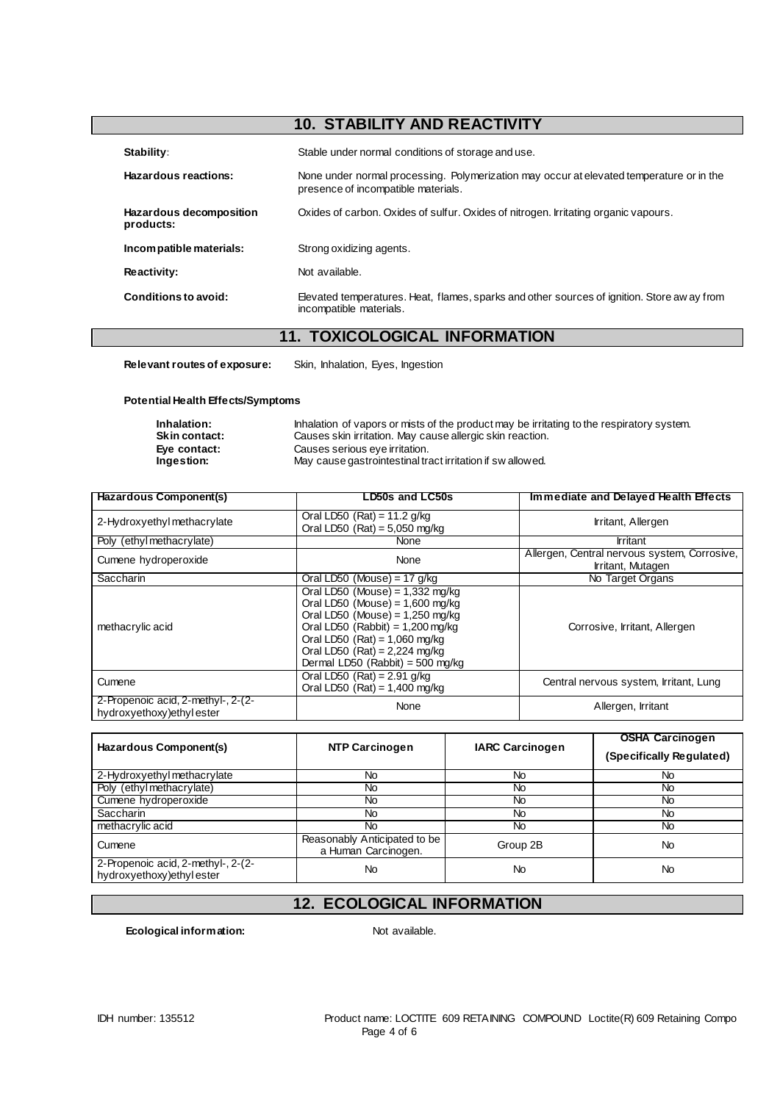# **10. STABILITY AND REACTIVITY**

| Stability:                           | Stable under normal conditions of storage and use.                                                                              |  |
|--------------------------------------|---------------------------------------------------------------------------------------------------------------------------------|--|
| Hazardous reactions:                 | None under normal processing. Polymerization may occur at elevated temperature or in the<br>presence of incompatible materials. |  |
| Hazardous decomposition<br>products: | Oxides of carbon. Oxides of sulfur. Oxides of nitrogen. Irritating organic vapours.                                             |  |
| Incompatible materials:              | Strong oxidizing agents.                                                                                                        |  |
| Reactivity:                          | Not available.                                                                                                                  |  |
| Conditions to avoid:                 | Elevated temperatures. Heat, flames, sparks and other sources of ignition. Store aw ay from<br>incompatible materials.          |  |

## **11. TOXICOLOGICAL INFORMATION**

**Relevant routes of exposure:** Skin, Inhalation, Eyes, Ingestion

#### **Potential Health Effects/Symptoms**

| Inhalation:          | Inhalation of vapors or mists of the product may be irritating to the respiratory system. |
|----------------------|-------------------------------------------------------------------------------------------|
| <b>Skin contact:</b> | Causes skin irritation. May cause allergic skin reaction.                                 |
| Eve contact:         | Causes serious eye irritation.                                                            |
| Ingestion:           | May cause gastrointestinal tract irritation if sw allowed.                                |

| Hazardous Component(s)                                           | LD50s and LC50s                                                                                                                                                                                                                                             | Immediate and Delayed Health Effects                              |
|------------------------------------------------------------------|-------------------------------------------------------------------------------------------------------------------------------------------------------------------------------------------------------------------------------------------------------------|-------------------------------------------------------------------|
| 2-Hydroxyethyl methacrylate                                      | Oral LD50 (Rat) = $11.2$ g/kg<br>Oral LD50 $(Rat) = 5,050$ mg/kg                                                                                                                                                                                            | Irritant, Allergen                                                |
| Poly (ethyl methacrylate)                                        | None                                                                                                                                                                                                                                                        | Irritant                                                          |
| Cumene hydroperoxide                                             | None                                                                                                                                                                                                                                                        | Allergen, Central nervous system, Corrosive,<br>Irritant, Mutagen |
| Saccharin                                                        | Oral LD50 (Mouse) = 17 $q/kg$                                                                                                                                                                                                                               | No Target Organs                                                  |
| methacrylic acid                                                 | Oral LD50 (Mouse) = $1,332$ mg/kg<br>Oral LD50 (Mouse) = $1,600$ mg/kg<br>Oral LD50 (Mouse) = $1,250$ mg/kg<br>Oral LD50 (Rabbit) = $1,200$ mg/kg<br>Oral LD50 $(Rat) = 1,060$ mg/kg<br>Oral LD50 $(Rat) = 2,224$ mg/kg<br>Dermal LD50 (Rabbit) = 500 mg/kg | Corrosive, Irritant, Allergen                                     |
| Cumene                                                           | Oral LD50 (Rat) = $2.91$ g/kg<br>Oral LD50 (Rat) = $1,400$ mg/kg                                                                                                                                                                                            | Central nervous system, Irritant, Lung                            |
| 2-Propenoic acid, 2-methyl-, 2-(2-<br>hydroxyethoxy) ethyl ester | None                                                                                                                                                                                                                                                        | Allergen, Irritant                                                |

| Hazardous Component(s)                                           | <b>NTP Carcinogen</b>                               | <b>IARC Carcinogen</b> | <b>OSHA Carcinogen</b><br>(Specifically Regulated) |
|------------------------------------------------------------------|-----------------------------------------------------|------------------------|----------------------------------------------------|
| 2-Hydroxyethylmethacrylate                                       | No                                                  | <b>No</b>              | No                                                 |
| Poly (ethyl methacrylate)                                        | No                                                  | No                     | No                                                 |
| Cumene hydroperoxide                                             | No.                                                 | No                     | <b>No</b>                                          |
| <b>Saccharin</b>                                                 | No                                                  | No                     | No                                                 |
| methacrylic acid                                                 | No                                                  | <b>No</b>              | <b>No</b>                                          |
| Cumene                                                           | Reasonably Anticipated to be<br>a Human Carcinogen. | Group 2B               | <b>No</b>                                          |
| 2-Propenoic acid, 2-methyl-, 2-(2-<br>hydroxyethoxy) ethyl ester | No                                                  | <b>No</b>              | <b>No</b>                                          |

# **12. ECOLOGICAL INFORMATION**

**Ecological information:** Not available.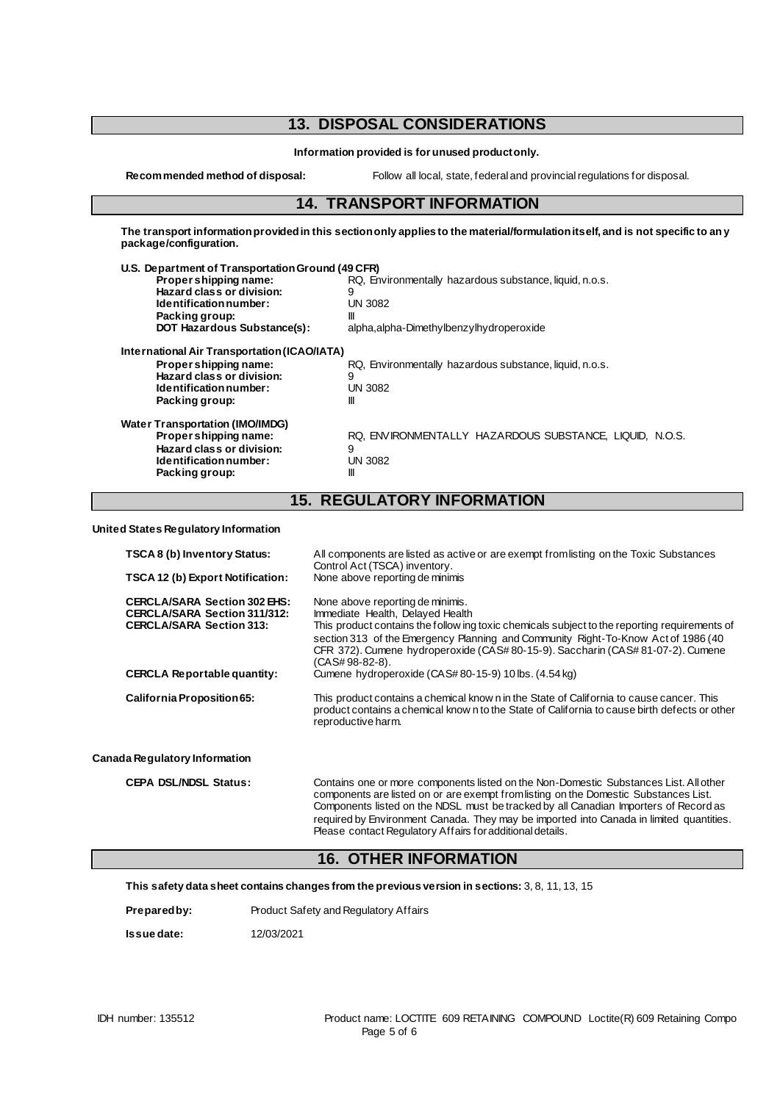## **13. DISPOSAL CONSIDERATIONS**

**Information provided is for unused product only.**

**Recommended method of disposal:** Follow all local, state, federal and provincial regulations for disposal.

## **14. TRANSPORT INFORMATION**

**The transport information provided in this section only applies to the material/formulation itself, and is not specific to any package/configuration.**

| U.S. Department of Transportation Ground (49 CFR) |                                                         |  |  |
|---------------------------------------------------|---------------------------------------------------------|--|--|
| Propershipping name:                              | RQ, Environmentally hazardous substance, liquid, n.o.s. |  |  |
| Hazard class or division:                         | 9                                                       |  |  |
| Identification number:                            | <b>UN 3082</b>                                          |  |  |
| Packing group:                                    | Ш                                                       |  |  |
| <b>DOT Hazardous Substance(s):</b>                | alpha, alpha-Dimethylbenzylhydroperoxide                |  |  |
| International Air Transportation (ICAO/IATA)      |                                                         |  |  |
| Proper shipping name:                             | RQ, Environmentally hazardous substance, liquid, n.o.s. |  |  |
| Hazard class or division:                         | 9                                                       |  |  |
| Identification number:                            | UN 3082                                                 |  |  |
| Packing group:                                    | Ш                                                       |  |  |
| <b>Water Transportation (IMO/IMDG)</b>            |                                                         |  |  |
| Propershipping name:                              | RQ. ENVIRONMENTALLY HAZARDOUS SUBSTANCE. LIQUID. N.O.S. |  |  |
| Hazard class or division:                         | 9                                                       |  |  |
| Identification number:                            | <b>UN 3082</b>                                          |  |  |
| Packing group:                                    | Ш                                                       |  |  |
|                                                   |                                                         |  |  |

## **15. REGULATORY INFORMATION**

**United States Regulatory Information**

| TSCA 8 (b) Inventory Status:<br>TSCA 12 (b) Export Notification:                                                                                                                                                                                                                                                                   | All components are listed as active or are exempt from listing on the Toxic Substances<br>Control Act (TSCA) inventory.<br>None above reporting de minimis                                                                                                                                                                                                    |
|------------------------------------------------------------------------------------------------------------------------------------------------------------------------------------------------------------------------------------------------------------------------------------------------------------------------------------|---------------------------------------------------------------------------------------------------------------------------------------------------------------------------------------------------------------------------------------------------------------------------------------------------------------------------------------------------------------|
| <b>CERCLA/SARA Section 302 EHS:</b><br><b>CERCLA/SARA Section 311/312:</b><br><b>CERCLA/SARA Section 313:</b>                                                                                                                                                                                                                      | None above reporting de minimis.<br>Immediate Health, Delayed Health<br>This product contains the follow ing toxic chemicals subject to the reporting requirements of<br>section 313 of the Emergency Planning and Community Right-To-Know Act of 1986 (40<br>CFR 372). Cumene hydroperoxide (CAS#80-15-9). Saccharin (CAS#81-07-2). Cumene<br>(CAS#98-82-8). |
| <b>CERCLA Reportable quantity:</b>                                                                                                                                                                                                                                                                                                 | Cumene hydroperoxide (CAS#80-15-9) 10 lbs. (4.54 kg)                                                                                                                                                                                                                                                                                                          |
| California Proposition 65:                                                                                                                                                                                                                                                                                                         | This product contains a chemical know n in the State of California to cause cancer. This<br>product contains a chemical known to the State of California to cause birth defects or other<br>reproductive harm.                                                                                                                                                |
| Canada Regulatory Information                                                                                                                                                                                                                                                                                                      |                                                                                                                                                                                                                                                                                                                                                               |
| $\mathsf{A}$ $\mathsf{F}$ $\mathsf{A}$ $\mathsf{B}$ $\mathsf{A}$ $\mathsf{B}$ $\mathsf{B}$ $\mathsf{B}$ $\mathsf{B}$ $\mathsf{B}$ $\mathsf{B}$ $\mathsf{B}$ $\mathsf{B}$ $\mathsf{B}$ $\mathsf{B}$ $\mathsf{B}$ $\mathsf{B}$ $\mathsf{B}$ $\mathsf{B}$ $\mathsf{B}$ $\mathsf{B}$ $\mathsf{B}$ $\mathsf{B}$ $\mathsf{B}$ $\mathsf{$ |                                                                                                                                                                                                                                                                                                                                                               |

**CEPA DSL/NDSL Status:** Contains one or more components listed on the Non-Domestic Substances List. All other components are listed on or are exempt from listing on the Domestic Substances List. Components listed on the NDSL must be tracked by all Canadian Importers of Record as required by Environment Canada. They may be imported into Canada in limited quantities. Please contact Regulatory Affairs for additional details.

## **16. OTHER INFORMATION**

**This safety data sheet contains changes from the previous version in sections:** 3, 8, 11, 13, 15

| Prepared by: | Product Safety and Regulatory Affairs |
|--------------|---------------------------------------|
|--------------|---------------------------------------|

**Issue date:** 12/03/2021